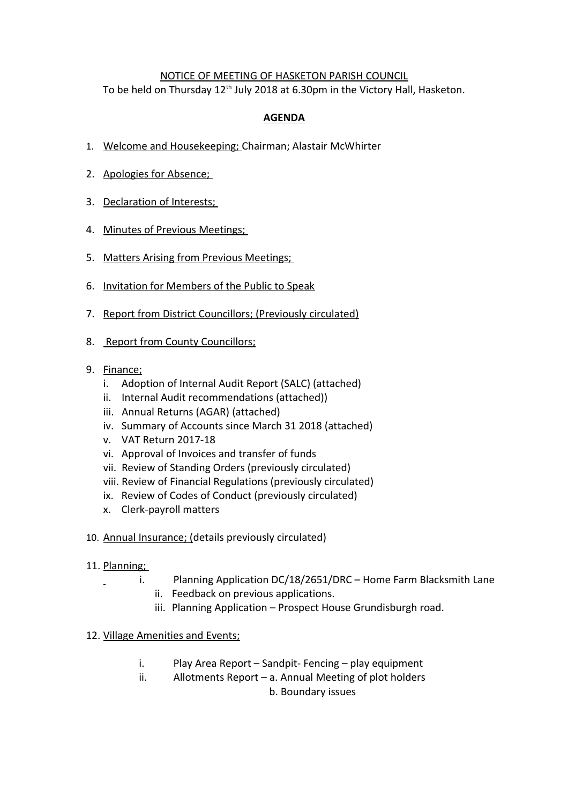## NOTICE OF MEETING OF HASKETON PARISH COUNCIL

To be held on Thursday  $12<sup>th</sup>$  July 2018 at 6.30pm in the Victory Hall, Hasketon.

# **AGENDA**

- 1. Welcome and Housekeeping; Chairman; Alastair McWhirter
- 2. Apologies for Absence;
- 3. Declaration of Interests;
- 4. Minutes of Previous Meetings;
- 5. Matters Arising from Previous Meetings;
- 6. Invitation for Members of the Public to Speak
- 7. Report from District Councillors; (Previously circulated)
- 8. Report from County Councillors;
- 9. Finance;
	- i. Adoption of Internal Audit Report (SALC) (attached)
	- ii. Internal Audit recommendations (attached))
	- iii. Annual Returns (AGAR) (attached)
	- iv. Summary of Accounts since March 31 2018 (attached)
	- v. VAT Return 2017-18
	- vi. Approval of Invoices and transfer of funds
	- vii. Review of Standing Orders (previously circulated)
	- viii. Review of Financial Regulations (previously circulated)
	- ix. Review of Codes of Conduct (previously circulated)
	- x. Clerk-payroll matters
- 10. Annual Insurance; (details previously circulated)

#### 11. Planning;

- i. Planning Application DC/18/2651/DRC Home Farm Blacksmith Lane
	- ii. Feedback on previous applications.
	- iii. Planning Application Prospect House Grundisburgh road.

#### 12. Village Amenities and Events;

- i. Play Area Report Sandpit- Fencing play equipment
- ii. Allotments Report a. Annual Meeting of plot holders

b. Boundary issues